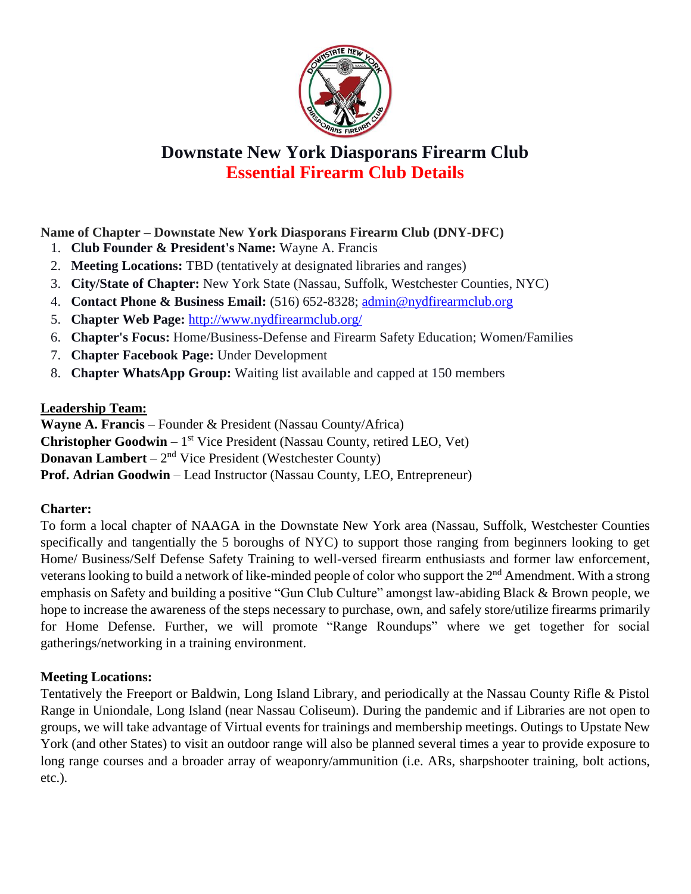

# **Downstate New York Diasporans Firearm Club Essential Firearm Club Details**

**Name of Chapter – Downstate New York Diasporans Firearm Club (DNY-DFC)**

- 1. **Club Founder & President's Name:** Wayne A. Francis
- 2. **Meeting Locations:** TBD (tentatively at designated libraries and ranges)
- 3. **City/State of Chapter:** New York State (Nassau, Suffolk, Westchester Counties, NYC)
- 4. **Contact Phone & Business Email:** (516) 652-8328; [admin@nydfirearmclub.org](mailto:admin@nydfirearmclub.org)
- 5. **Chapter Web Page:** <http://www.nydfirearmclub.org/>
- 6. **Chapter's Focus:** Home/Business-Defense and Firearm Safety Education; Women/Families
- 7. **Chapter Facebook Page:** Under Development
- 8. **Chapter WhatsApp Group:** Waiting list available and capped at 150 members

## **Leadership Team:**

**Wayne A. Francis** – Founder & President (Nassau County/Africa) **Christopher Goodwin** - 1<sup>st</sup> Vice President (Nassau County, retired LEO, Vet) **Donavan Lambert** –  $2<sup>nd</sup>$  Vice President (Westchester County) **Prof. Adrian Goodwin** – Lead Instructor (Nassau County, LEO, Entrepreneur)

## **Charter:**

To form a local chapter of NAAGA in the Downstate New York area (Nassau, Suffolk, Westchester Counties specifically and tangentially the 5 boroughs of NYC) to support those ranging from beginners looking to get Home/ Business/Self Defense Safety Training to well-versed firearm enthusiasts and former law enforcement, veterans looking to build a network of like-minded people of color who support the 2<sup>nd</sup> Amendment. With a strong emphasis on Safety and building a positive "Gun Club Culture" amongst law-abiding Black & Brown people, we hope to increase the awareness of the steps necessary to purchase, own, and safely store/utilize firearms primarily for Home Defense. Further, we will promote "Range Roundups" where we get together for social gatherings/networking in a training environment.

## **Meeting Locations:**

Tentatively the Freeport or Baldwin, Long Island Library, and periodically at the Nassau County Rifle & Pistol Range in Uniondale, Long Island (near Nassau Coliseum). During the pandemic and if Libraries are not open to groups, we will take advantage of Virtual events for trainings and membership meetings. Outings to Upstate New York (and other States) to visit an outdoor range will also be planned several times a year to provide exposure to long range courses and a broader array of weaponry/ammunition (i.e. ARs, sharpshooter training, bolt actions, etc.).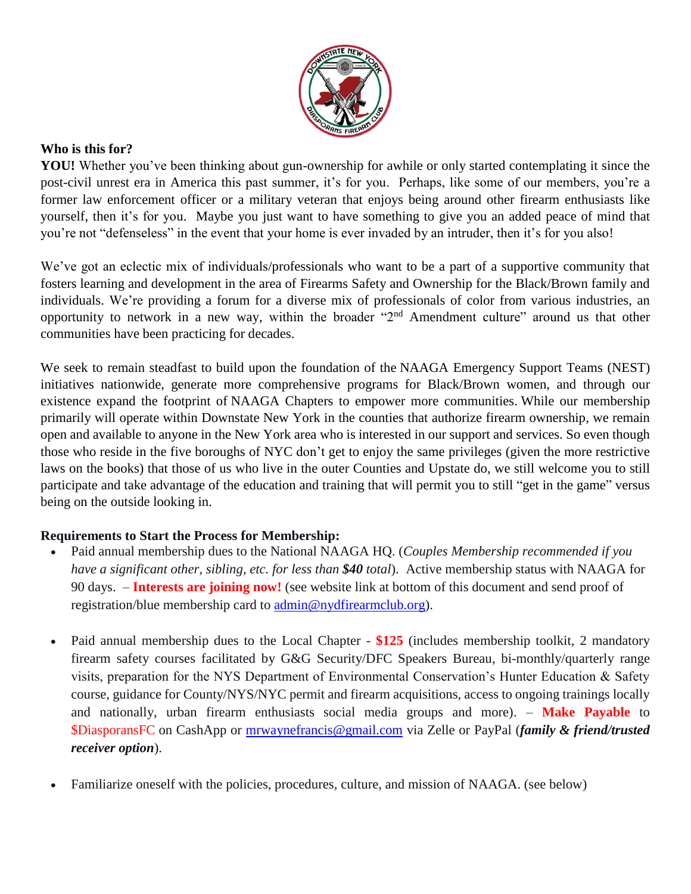

#### **Who is this for?**

**YOU!** Whether you've been thinking about gun-ownership for awhile or only started contemplating it since the post-civil unrest era in America this past summer, it's for you. Perhaps, like some of our members, you're a former law enforcement officer or a military veteran that enjoys being around other firearm enthusiasts like yourself, then it's for you. Maybe you just want to have something to give you an added peace of mind that you're not "defenseless" in the event that your home is ever invaded by an intruder, then it's for you also!

We've got an eclectic mix of individuals/professionals who want to be a part of a supportive community that fosters learning and development in the area of Firearms Safety and Ownership for the Black/Brown family and individuals. We're providing a forum for a diverse mix of professionals of color from various industries, an opportunity to network in a new way, within the broader "2nd Amendment culture" around us that other communities have been practicing for decades.

We seek to remain steadfast to build upon the foundation of the NAAGA Emergency Support Teams (NEST) initiatives nationwide, generate more comprehensive programs for Black/Brown women, and through our existence expand the footprint of NAAGA Chapters to empower more communities. While our membership primarily will operate within Downstate New York in the counties that authorize firearm ownership, we remain open and available to anyone in the New York area who is interested in our support and services. So even though those who reside in the five boroughs of NYC don't get to enjoy the same privileges (given the more restrictive laws on the books) that those of us who live in the outer Counties and Upstate do, we still welcome you to still participate and take advantage of the education and training that will permit you to still "get in the game" versus being on the outside looking in.

## **Requirements to Start the Process for Membership:**

- Paid annual membership dues to the National NAAGA HQ. (*Couples Membership recommended if you have a significant other, sibling, etc. for less than \$40 total*). Active membership status with NAAGA for 90 days. – **Interests are joining now!** (see website link at bottom of this document and send proof of registration/blue membership card to [admin@nydfirearmclub.org\)](mailto:admin@nydfirearmclub.org).
- Paid annual membership dues to the Local Chapter \$125 (includes membership toolkit, 2 mandatory firearm safety courses facilitated by G&G Security/DFC Speakers Bureau, bi-monthly/quarterly range visits, preparation for the NYS Department of Environmental Conservation's Hunter Education & Safety course, guidance for County/NYS/NYC permit and firearm acquisitions, access to ongoing trainings locally and nationally, urban firearm enthusiasts social media groups and more). – **Make Payable** to \$DiasporansFC on CashApp or [mrwaynefrancis@gmail.com](mailto:mrwaynefrancis@gmail.com) via Zelle or PayPal (*family & friend/trusted receiver option*).
- Familiarize oneself with the policies, procedures, culture, and mission of NAAGA. (see below)